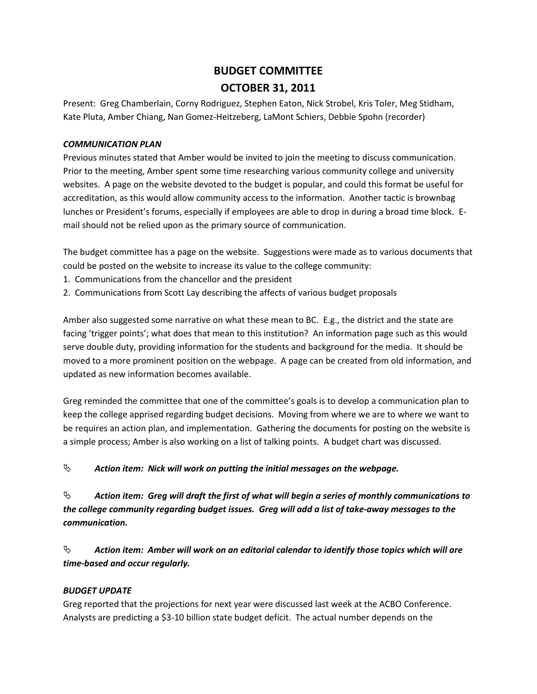# **BUDGET COMMITTEE OCTOBER 31, 2011**

Present: Greg Chamberlain, Corny Rodriguez, Stephen Eaton, Nick Strobel, Kris Toler, Meg Stidham, Kate Pluta, Amber Chiang, Nan Gomez-Heitzeberg, LaMont Schiers, Debbie Spohn (recorder)

#### *COMMUNICATION PLAN*

Previous minutes stated that Amber would be invited to join the meeting to discuss communication. Prior to the meeting, Amber spent some time researching various community college and university websites. A page on the website devoted to the budget is popular, and could this format be useful for accreditation, as this would allow community access to the information. Another tactic is brownbag lunches or President's forums, especially if employees are able to drop in during a broad time block. Email should not be relied upon as the primary source of communication.

The budget committee has a page on the website. Suggestions were made as to various documents that could be posted on the website to increase its value to the college community:

- 1. Communications from the chancellor and the president
- 2. Communications from Scott Lay describing the affects of various budget proposals

Amber also suggested some narrative on what these mean to BC. E.g., the district and the state are facing 'trigger points'; what does that mean to this institution? An information page such as this would serve double duty, providing information for the students and background for the media. It should be moved to a more prominent position on the webpage. A page can be created from old information, and updated as new information becomes available.

Greg reminded the committee that one of the committee's goals is to develop a communication plan to keep the college apprised regarding budget decisions. Moving from where we are to where we want to be requires an action plan, and implementation. Gathering the documents for posting on the website is a simple process; Amber is also working on a list of talking points. A budget chart was discussed.

*Action item: Nick will work on putting the initial messages on the webpage.*

 *Action item: Greg will draft the first of what will begin a series of monthly communications to the college community regarding budget issues. Greg will add a list of take-away messages to the communication.*

 *Action item: Amber will work on an editorial calendar to identify those topics which will are time-based and occur regularly.* 

# *BUDGET UPDATE*

Greg reported that the projections for next year were discussed last week at the ACBO Conference. Analysts are predicting a \$3-10 billion state budget deficit. The actual number depends on the